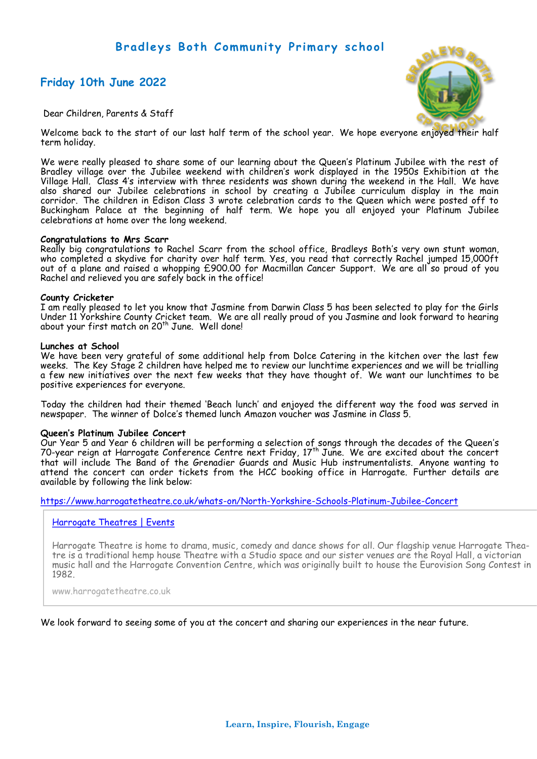# **Bradleys Both Community Primary school**

# **Friday 10th June 2022**



Dear Children, Parents & Staff

Welcome back to the start of our last half term of the school year. We hope everyone enjoyed their half term holiday.

We were really pleased to share some of our learning about the Queen's Platinum Jubilee with the rest of Bradley village over the Jubilee weekend with children's work displayed in the 1950s Exhibition at the Village Hall. Class 4's interview with three residents was shown during the weekend in the Hall. We have also shared our Jubilee celebrations in school by creating a Jubilee curriculum display in the main corridor. The children in Edison Class 3 wrote celebration cards to the Queen which were posted off to Buckingham Palace at the beginning of half term. We hope you all enjoyed your Platinum Jubilee celebrations at home over the long weekend.

## **Congratulations to Mrs Scarr**

Really big congratulations to Rachel Scarr from the school office, Bradleys Both's very own stunt woman, who completed a skydive for charity over half term. Yes, you read that correctly Rachel jumped 15,000ft out of a plane and raised a whopping £900.00 for Macmillan Cancer Support. We are all so proud of you Rachel and relieved you are safely back in the office!

## **County Cricketer**

I am really pleased to let you know that Jasmine from Darwin Class 5 has been selected to play for the Girls Under 11 Yorkshire County Cricket team. We are all really proud of you Jasmine and look forward to hearing about your first match on 20<sup>th</sup> June. Well done!

## **Lunches at School**

We have been very grateful of some additional help from Dolce Catering in the kitchen over the last few weeks. The Key Stage 2 children have helped me to review our lunchtime experiences and we will be trialling a few new initiatives over the next few weeks that they have thought of. We want our lunchtimes to be positive experiences for everyone.

Today the children had their themed 'Beach lunch' and enjoyed the different way the food was served in newspaper. The winner of Dolce's themed lunch Amazon voucher was Jasmine in Class 5.

## **Queen's Platinum Jubilee Concert**

Our Year 5 and Year 6 children will be performing a selection of songs through the decades of the Queen's 70-year reign at Harrogate Conference Centre next Friday,  $17^{\text{th}}$  June. We are excited about the concert that will include The Band of the Grenadier Guards and Music Hub instrumentalists. Anyone wanting to attend the concert can order tickets from the HCC booking office in Harrogate. Further details are available by following the link below:

[https://www.harrogatetheatre.co.uk/whats](https://www.harrogatetheatre.co.uk/whats-on/North-Yorkshire-Schools-Platinum-Jubilee-Concert)-on/North-Yorkshire-Schools-Platinum-Jubilee-Concert

## [Harrogate Theatres | Events](https://www.harrogatetheatre.co.uk/whats-on/North-Yorkshire-Schools-Platinum-Jubilee-Concert)

Harrogate Theatre is home to drama, music, comedy and dance shows for all. Our flagship venue Harrogate Theatre is a traditional hemp house Theatre with a Studio space and our sister venues are the Royal Hall, a victorian music hall and the Harrogate Convention Centre, which was originally built to house the Eurovision Song Contest in 1982.

www.harrogatetheatre.co.uk

We look forward to seeing some of you at the concert and sharing our experiences in the near future.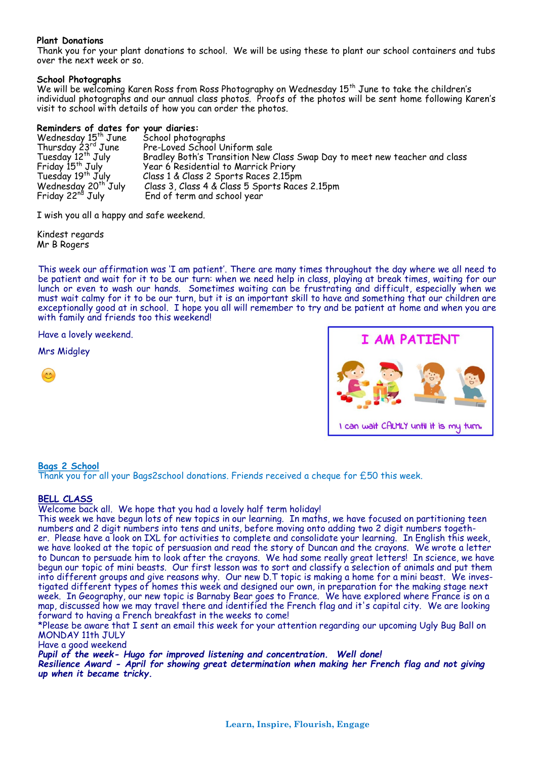## **Plant Donations**

Thank you for your plant donations to school. We will be using these to plant our school containers and tubs over the next week or so.

## **School Photographs**

We will be welcoming Karen Ross from Ross Photography on Wednesday 15<sup>th</sup> June to take the children's individual photographs and our annual class photos. Proofs of the photos will be sent home following Karen's visit to school with details of how you can order the photos.

## **Reminders of dates for your diaries:**

| Wednesday 15 <sup>th</sup> June | School photographs                                                         |
|---------------------------------|----------------------------------------------------------------------------|
|                                 |                                                                            |
| Thursday 23rd June              | Pre-Loved School Uniform sale                                              |
| Tuesday 12 <sup>th</sup> July   | Bradley Both's Transition New Class Swap Day to meet new teacher and class |
| Friday 15 <sup>th</sup> July    | Year 6 Residential to Marrick Priory                                       |
| Tuesday 19 <sup>th</sup> July   | Class 1 & Class 2 Sports Races 2.15pm                                      |
| Wednesday 20 <sup>th</sup> July | Class 3, Class 4 & Class 5 Sports Races 2.15pm                             |
| Friday 22 <sup>nd</sup> July    | End of term and school year                                                |

I wish you all a happy and safe weekend.

Kindest regards Mr B Rogers

This week our affirmation was 'I am patient'. There are many times throughout the day where we all need to be patient and wait for it to be our turn: when we need help in class, playing at break times, waiting for our lunch or even to wash our hands. Sometimes waiting can be frustrating and difficult, especially when we must wait calmy for it to be our turn, but it is an important skill to have and something that our children are exceptionally good at in school. I hope you all will remember to try and be patient at home and when you are with family and friends too this weekend!

Have a lovely weekend.

Mrs Midgley





## **Bags 2 School**

Thank you for all your Bags2school donations. Friends received a cheque for £50 this week.

## **BELL CLASS**

Welcome back all. We hope that you had a lovely half term holiday!

This week we have begun lots of new topics in our learning. In maths, we have focused on partitioning teen numbers and 2 digit numbers into tens and units, before moving onto adding two 2 digit numbers together. Please have a look on IXL for activities to complete and consolidate your learning. In English this week, we have looked at the topic of persuasion and read the story of Duncan and the crayons. We wrote a letter to Duncan to persuade him to look after the crayons. We had some really great letters! In science, we have begun our topic of mini beasts. Our first lesson was to sort and classify a selection of animals and put them into different groups and give reasons why. Our new D.T topic is making a home for a mini beast. We investigated different types of homes this week and designed our own, in preparation for the making stage next week. In Geography, our new topic is Barnaby Bear goes to France. We have explored where France is on a map, discussed how we may travel there and identified the French flag and it's capital city. We are looking forward to having a French breakfast in the weeks to come!

\*Please be aware that I sent an email this week for your attention regarding our upcoming Ugly Bug Ball on MONDAY 11th JULY

## Have a good weekend

*Pupil of the week- Hugo for improved listening and concentration. Well done!*

*Resilience Award - April for showing great determination when making her French flag and not giving up when it became tricky.*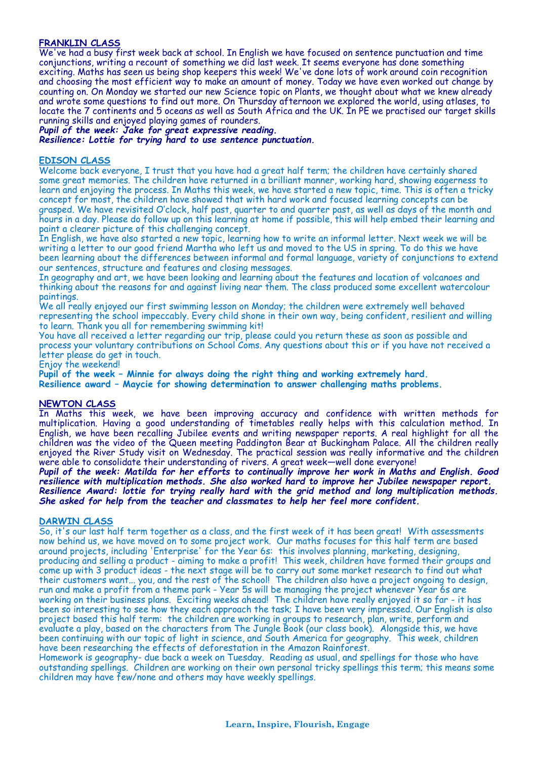## **FRANKLIN CLASS**

We've had a busy first week back at school. In English we have focused on sentence punctuation and time conjunctions, writing a recount of something we did last week. It seems everyone has done something exciting. Maths has seen us being shop keepers this week! We've done lots of work around coin recognition and choosing the most efficient way to make an amount of money. Today we have even worked out change by counting on. On Monday we started our new Science topic on Plants, we thought about what we knew already and wrote some questions to find out more. On Thursday afternoon we explored the world, using atlases, to locate the 7 continents and 5 oceans as well as South Africa and the UK. In PE we practised our target skills running skills and enjoyed playing games of rounders.

*Pupil of the week: Jake for great expressive reading.*

*Resilience: Lottie for trying hard to use sentence punctuation.*

#### **EDISON CLASS**

Welcome back everyone, I trust that you have had a great half term; the children have certainly shared some great memories. The children have returned in a brilliant manner, working hard, showing eagerness to learn and enjoying the process. In Maths this week, we have started a new topic, time. This is often a tricky concept for most, the children have showed that with hard work and focused learning concepts can be grasped. We have revisited O'clock, half past, quarter to and quarter past, as well as days of the month and hours in a day. Please do follow up on this learning at home if possible, this will help embed their learning and paint a clearer picture of this challenging concept.

In English, we have also started a new topic, learning how to write an informal letter. Next week we will be writing a letter to our good friend Martha who left us and moved to the US in spring. To do this we have been learning about the differences between informal and formal language, variety of conjunctions to extend our sentences, structure and features and closing messages.

In geography and art, we have been looking and learning about the features and location of volcanoes and thinking about the reasons for and against living near them. The class produced some excellent watercolour paintings.

We all really enjoyed our first swimming lesson on Monday; the children were extremely well behaved representing the school impeccably. Every child shone in their own way, being confident, resilient and willing to learn. Thank you all for remembering swimming kit!

You have all received a letter regarding our trip, please could you return these as soon as possible and process your voluntary contributions on School Coms. Any questions about this or if you have not received a letter please do get in touch.

Enjoy the weekend!

**Pupil of the week – Minnie for always doing the right thing and working extremely hard. Resilience award – Maycie for showing determination to answer challenging maths problems.**

#### **NEWTON CLASS**

In Maths this week, we have been improving accuracy and confidence with written methods for multiplication. Having a good understanding of timetables really helps with this calculation method. In English, we have been recalling Jubilee events and writing newspaper reports. A real highlight for all the children was the video of the Queen meeting Paddington Bear at Buckingham Palace. All the children really enjoyed the River Study visit on Wednesday. The practical session was really informative and the children were able to consolidate their understanding of rivers. A great week—well done everyone!

*Pupil of the week: Matilda for her efforts to continually improve her work in Maths and English. Good resilience with multiplication methods. She also worked hard to improve her Jubilee newspaper report. Resilience Award: lottie for trying really hard with the grid method and long multiplication methods. She asked for help from the teacher and classmates to help her feel more confident.*

#### **DARWIN CLASS**

So, it's our last half term together as a class, and the first week of it has been great! With assessments now behind us, we have moved on to some project work. Our maths focuses for this half term are based around projects, including 'Enterprise' for the Year 6s: this involves planning, marketing, designing, producing and selling a product - aiming to make a profit! This week, children have formed their groups and come up with 3 product ideas - the next stage will be to carry out some market research to find out what their customers want... you, and the rest of the school! The children also have a project ongoing to design, run and make a profit from a theme park - Year 5s will be managing the project whenever Year 6s are working on their business plans. Exciting weeks ahead! The children have really enjoyed it so far - it has been so interesting to see how they each approach the task; I have been very impressed. Our English is also project based this half term: the children are working in groups to research, plan, write, perform and evaluate a play, based on the characters from The Jungle Book (our class book). Alongside this, we have been continuing with our topic of light in science, and South America for geography. This week, children have been researching the effects of deforestation in the Amazon Rainforest.

Homework is geography- due back a week on Tuesday. Reading as usual, and spellings for those who have outstanding spellings. Children are working on their own personal tricky spellings this term; this means some children may have few/none and others may have weekly spellings.